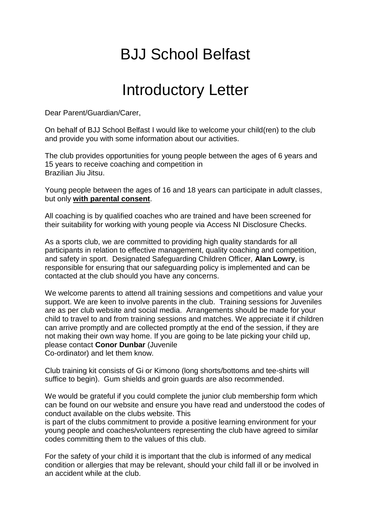## BJJ School Belfast

## Introductory Letter

Dear Parent/Guardian/Carer,

On behalf of BJJ School Belfast I would like to welcome your child(ren) to the club and provide you with some information about our activities.

The club provides opportunities for young people between the ages of 6 years and 15 years to receive coaching and competition in Brazilian Jiu Jitsu.

Young people between the ages of 16 and 18 years can participate in adult classes, but only **with parental consent**.

All coaching is by qualified coaches who are trained and have been screened for their suitability for working with young people via Access NI Disclosure Checks.

As a sports club, we are committed to providing high quality standards for all participants in relation to effective management, quality coaching and competition, and safety in sport. Designated Safeguarding Children Officer, **Alan Lowry**, is responsible for ensuring that our safeguarding policy is implemented and can be contacted at the club should you have any concerns.

We welcome parents to attend all training sessions and competitions and value your support. We are keen to involve parents in the club. Training sessions for Juveniles are as per club website and social media. Arrangements should be made for your child to travel to and from training sessions and matches. We appreciate it if children can arrive promptly and are collected promptly at the end of the session, if they are not making their own way home. If you are going to be late picking your child up, please contact **Conor Dunbar** (Juvenile Co-ordinator) and let them know.

Club training kit consists of Gi or Kimono (long shorts/bottoms and tee-shirts will suffice to begin). Gum shields and groin guards are also recommended.

We would be grateful if you could complete the junior club membership form which can be found on our website and ensure you have read and understood the codes of conduct available on the clubs website. This

is part of the clubs commitment to provide a positive learning environment for your young people and coaches/volunteers representing the club have agreed to similar codes committing them to the values of this club.

For the safety of your child it is important that the club is informed of any medical condition or allergies that may be relevant, should your child fall ill or be involved in an accident while at the club.